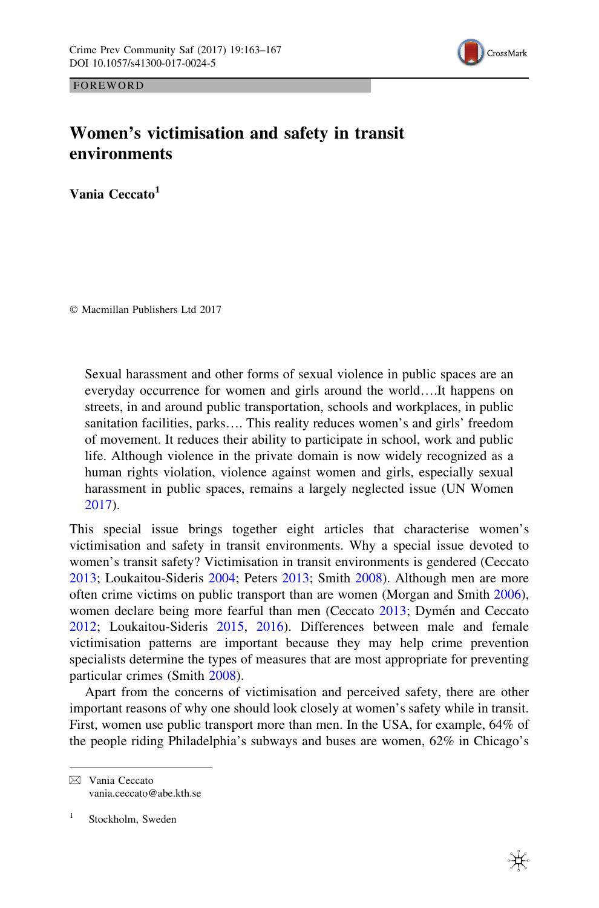

FOREWORD

## Women's victimisation and safety in transit environments

Vania Ceccato<sup>1</sup>

- Macmillan Publishers Ltd 2017

Sexual harassment and other forms of sexual violence in public spaces are an everyday occurrence for women and girls around the world….It happens on streets, in and around public transportation, schools and workplaces, in public sanitation facilities, parks…. This reality reduces women's and girls' freedom of movement. It reduces their ability to participate in school, work and public life. Although violence in the private domain is now widely recognized as a human rights violation, violence against women and girls, especially sexual harassment in public spaces, remains a largely neglected issue (UN Women [2017](#page-4-0)).

This special issue brings together eight articles that characterise women's victimisation and safety in transit environments. Why a special issue devoted to women's transit safety? Victimisation in transit environments is gendered (Ceccato [2013;](#page-4-0) Loukaitou-Sideris [2004;](#page-4-0) Peters [2013](#page-4-0); Smith [2008\)](#page-4-0). Although men are more often crime victims on public transport than are women (Morgan and Smith [2006\)](#page-4-0), women declare being more fearful than men (Ceccato [2013](#page-4-0); Dymén and Ceccato [2012;](#page-4-0) Loukaitou-Sideris [2015](#page-4-0), [2016](#page-4-0)). Differences between male and female victimisation patterns are important because they may help crime prevention specialists determine the types of measures that are most appropriate for preventing particular crimes (Smith [2008](#page-4-0)).

Apart from the concerns of victimisation and perceived safety, there are other important reasons of why one should look closely at women's safety while in transit. First, women use public transport more than men. In the USA, for example, 64% of the people riding Philadelphia's subways and buses are women, 62% in Chicago's

 $\boxtimes$  Vania Ceccato vania.ceccato@abe.kth.se

 $1$  Stockholm, Sweden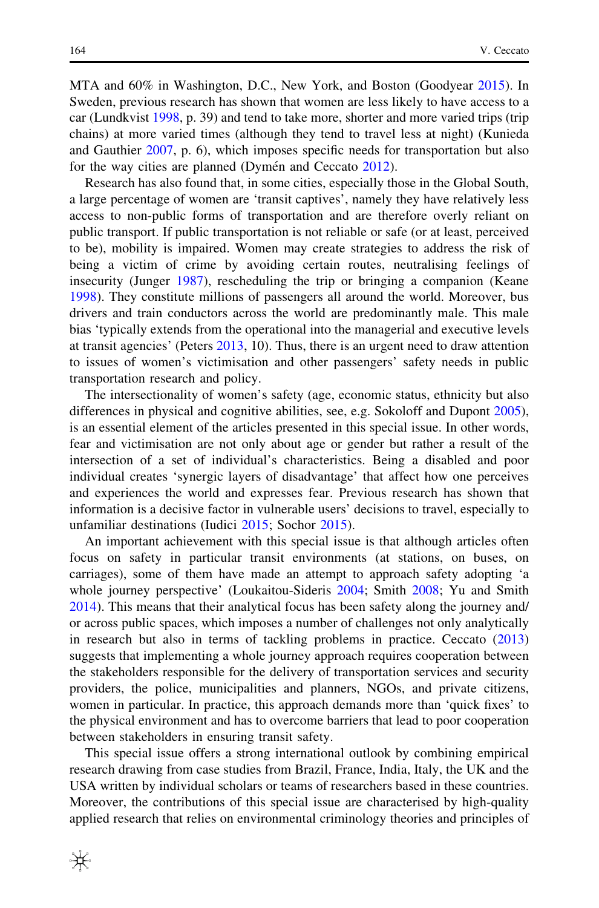MTA and 60% in Washington, D.C., New York, and Boston (Goodyear [2015\)](#page-4-0). In Sweden, previous research has shown that women are less likely to have access to a car (Lundkvist [1998,](#page-4-0) p. 39) and tend to take more, shorter and more varied trips (trip chains) at more varied times (although they tend to travel less at night) (Kunieda and Gauthier [2007](#page-4-0), p. 6), which imposes specific needs for transportation but also for the way cities are planned (Dymén and Ceccato [2012](#page-4-0)).

Research has also found that, in some cities, especially those in the Global South, a large percentage of women are 'transit captives', namely they have relatively less access to non-public forms of transportation and are therefore overly reliant on public transport. If public transportation is not reliable or safe (or at least, perceived to be), mobility is impaired. Women may create strategies to address the risk of being a victim of crime by avoiding certain routes, neutralising feelings of insecurity (Junger [1987](#page-4-0)), rescheduling the trip or bringing a companion (Keane [1998\)](#page-4-0). They constitute millions of passengers all around the world. Moreover, bus drivers and train conductors across the world are predominantly male. This male bias 'typically extends from the operational into the managerial and executive levels at transit agencies' (Peters [2013,](#page-4-0) 10). Thus, there is an urgent need to draw attention to issues of women's victimisation and other passengers' safety needs in public transportation research and policy.

The intersectionality of women's safety (age, economic status, ethnicity but also differences in physical and cognitive abilities, see, e.g. Sokoloff and Dupont [2005\)](#page-4-0), is an essential element of the articles presented in this special issue. In other words, fear and victimisation are not only about age or gender but rather a result of the intersection of a set of individual's characteristics. Being a disabled and poor individual creates 'synergic layers of disadvantage' that affect how one perceives and experiences the world and expresses fear. Previous research has shown that information is a decisive factor in vulnerable users' decisions to travel, especially to unfamiliar destinations (Iudici [2015](#page-4-0); Sochor [2015](#page-4-0)).

An important achievement with this special issue is that although articles often focus on safety in particular transit environments (at stations, on buses, on carriages), some of them have made an attempt to approach safety adopting 'a whole journey perspective' (Loukaitou-Sideris [2004](#page-4-0); Smith [2008](#page-4-0); Yu and Smith [2014\)](#page-4-0). This means that their analytical focus has been safety along the journey and/ or across public spaces, which imposes a number of challenges not only analytically in research but also in terms of tackling problems in practice. Ceccato [\(2013](#page-4-0)) suggests that implementing a whole journey approach requires cooperation between the stakeholders responsible for the delivery of transportation services and security providers, the police, municipalities and planners, NGOs, and private citizens, women in particular. In practice, this approach demands more than 'quick fixes' to the physical environment and has to overcome barriers that lead to poor cooperation between stakeholders in ensuring transit safety.

This special issue offers a strong international outlook by combining empirical research drawing from case studies from Brazil, France, India, Italy, the UK and the USA written by individual scholars or teams of researchers based in these countries. Moreover, the contributions of this special issue are characterised by high-quality applied research that relies on environmental criminology theories and principles of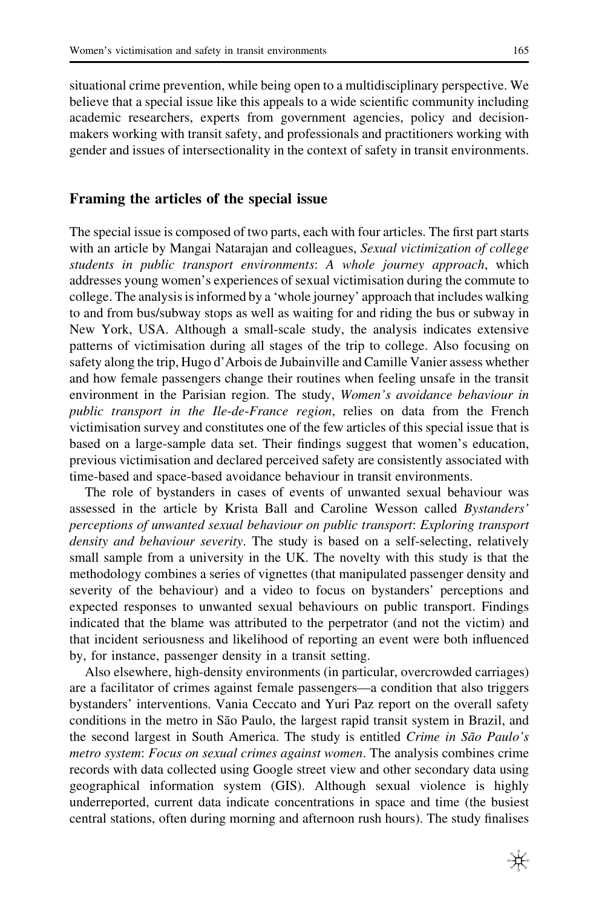situational crime prevention, while being open to a multidisciplinary perspective. We believe that a special issue like this appeals to a wide scientific community including academic researchers, experts from government agencies, policy and decisionmakers working with transit safety, and professionals and practitioners working with gender and issues of intersectionality in the context of safety in transit environments.

## Framing the articles of the special issue

The special issue is composed of two parts, each with four articles. The first part starts with an article by Mangai Natarajan and colleagues, Sexual victimization of college students in public transport environments: A whole journey approach, which addresses young women's experiences of sexual victimisation during the commute to college. The analysis is informed by a 'whole journey' approach that includes walking to and from bus/subway stops as well as waiting for and riding the bus or subway in New York, USA. Although a small-scale study, the analysis indicates extensive patterns of victimisation during all stages of the trip to college. Also focusing on safety along the trip, Hugo d'Arbois de Jubainville and Camille Vanier assess whether and how female passengers change their routines when feeling unsafe in the transit environment in the Parisian region. The study, Women's avoidance behaviour in public transport in the Ile-de-France region, relies on data from the French victimisation survey and constitutes one of the few articles of this special issue that is based on a large-sample data set. Their findings suggest that women's education, previous victimisation and declared perceived safety are consistently associated with time-based and space-based avoidance behaviour in transit environments.

The role of bystanders in cases of events of unwanted sexual behaviour was assessed in the article by Krista Ball and Caroline Wesson called Bystanders' perceptions of unwanted sexual behaviour on public transport: Exploring transport density and behaviour severity. The study is based on a self-selecting, relatively small sample from a university in the UK. The novelty with this study is that the methodology combines a series of vignettes (that manipulated passenger density and severity of the behaviour) and a video to focus on bystanders' perceptions and expected responses to unwanted sexual behaviours on public transport. Findings indicated that the blame was attributed to the perpetrator (and not the victim) and that incident seriousness and likelihood of reporting an event were both influenced by, for instance, passenger density in a transit setting.

Also elsewhere, high-density environments (in particular, overcrowded carriages) are a facilitator of crimes against female passengers—a condition that also triggers bystanders' interventions. Vania Ceccato and Yuri Paz report on the overall safety conditions in the metro in São Paulo, the largest rapid transit system in Brazil, and the second largest in South America. The study is entitled *Crime in São Paulo's* metro system: Focus on sexual crimes against women. The analysis combines crime records with data collected using Google street view and other secondary data using geographical information system (GIS). Although sexual violence is highly underreported, current data indicate concentrations in space and time (the busiest central stations, often during morning and afternoon rush hours). The study finalises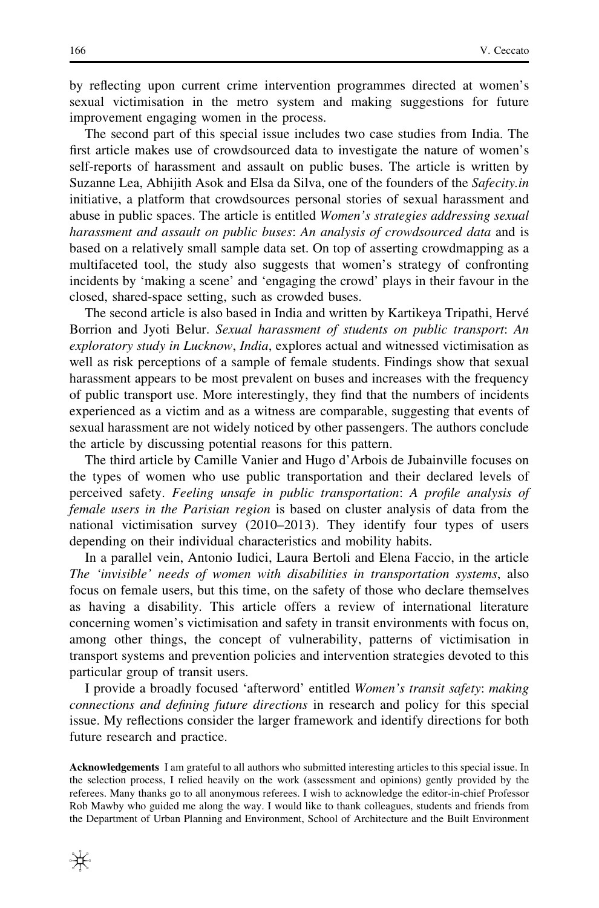by reflecting upon current crime intervention programmes directed at women's sexual victimisation in the metro system and making suggestions for future improvement engaging women in the process.

The second part of this special issue includes two case studies from India. The first article makes use of crowdsourced data to investigate the nature of women's self-reports of harassment and assault on public buses. The article is written by Suzanne Lea, Abhijith Asok and Elsa da Silva, one of the founders of the Safecity.in initiative, a platform that crowdsources personal stories of sexual harassment and abuse in public spaces. The article is entitled Women's strategies addressing sexual harassment and assault on public buses: An analysis of crowdsourced data and is based on a relatively small sample data set. On top of asserting crowdmapping as a multifaceted tool, the study also suggests that women's strategy of confronting incidents by 'making a scene' and 'engaging the crowd' plays in their favour in the closed, shared-space setting, such as crowded buses.

The second article is also based in India and written by Kartikeya Tripathi, Herve´ Borrion and Jyoti Belur. Sexual harassment of students on public transport: An exploratory study in Lucknow, India, explores actual and witnessed victimisation as well as risk perceptions of a sample of female students. Findings show that sexual harassment appears to be most prevalent on buses and increases with the frequency of public transport use. More interestingly, they find that the numbers of incidents experienced as a victim and as a witness are comparable, suggesting that events of sexual harassment are not widely noticed by other passengers. The authors conclude the article by discussing potential reasons for this pattern.

The third article by Camille Vanier and Hugo d'Arbois de Jubainville focuses on the types of women who use public transportation and their declared levels of perceived safety. Feeling unsafe in public transportation: A profile analysis of female users in the Parisian region is based on cluster analysis of data from the national victimisation survey (2010–2013). They identify four types of users depending on their individual characteristics and mobility habits.

In a parallel vein, Antonio Iudici, Laura Bertoli and Elena Faccio, in the article The 'invisible' needs of women with disabilities in transportation systems, also focus on female users, but this time, on the safety of those who declare themselves as having a disability. This article offers a review of international literature concerning women's victimisation and safety in transit environments with focus on, among other things, the concept of vulnerability, patterns of victimisation in transport systems and prevention policies and intervention strategies devoted to this particular group of transit users.

I provide a broadly focused 'afterword' entitled Women's transit safety: making connections and defining future directions in research and policy for this special issue. My reflections consider the larger framework and identify directions for both future research and practice.

Acknowledgements I am grateful to all authors who submitted interesting articles to this special issue. In the selection process, I relied heavily on the work (assessment and opinions) gently provided by the referees. Many thanks go to all anonymous referees. I wish to acknowledge the editor-in-chief Professor Rob Mawby who guided me along the way. I would like to thank colleagues, students and friends from the Department of Urban Planning and Environment, School of Architecture and the Built Environment